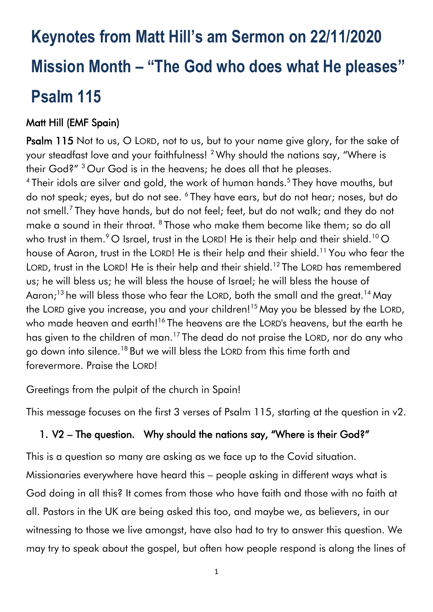# **Keynotes from Matt Hill's am Sermon on 22/11/2020 Mission Month – "The God who does what He pleases" Psalm 115**

## Matt Hill (EMF Spain)

Psalm 115 Not to us, O LORD, not to us, but to your name give glory, for the sake of your steadfast love and your faithfulness! <sup>2</sup> Why should the nations say, "Where is their God?" <sup>3</sup> Our God is in the heavens; he does all that he pleases.

<sup>4</sup> Their idols are silver and gold, the work of human hands.<sup>5</sup> They have mouths, but do not speak; eyes, but do not see. <sup>6</sup> They have ears, but do not hear; noses, but do not smell.<sup>7</sup> They have hands, but do not feel; feet, but do not walk; and they do not make a sound in their throat. <sup>8</sup> Those who make them become like them; so do all who trust in them.  $^9$  O Israel, trust in the LORD! He is their help and their shield.<sup>10</sup> O house of Aaron, trust in the LORD! He is their help and their shield.<sup>11</sup> You who fear the LORD, trust in the LORD! He is their help and their shield.<sup>12</sup> The LORD has remembered us; he will bless us; he will bless the house of Israel; he will bless the house of Aaron;<sup>13</sup> he will bless those who fear the LORD, both the small and the great.<sup>14</sup> May the LORD give you increase, you and your children!<sup>15</sup> May you be blessed by the LORD, who made heaven and earth!<sup>16</sup> The heavens are the LORD's heavens, but the earth he has given to the children of man.<sup>17</sup> The dead do not praise the LORD, nor do any who go down into silence.<sup>18</sup> But we will bless the LORD from this time forth and forevermore. Praise the LORD!

Greetings from the pulpit of the church in Spain!

This message focuses on the first 3 verses of Psalm 115, starting at the question in v2.

### 1. V2 – The question. Why should the nations say, "Where is their God?"

This is a question so many are asking as we face up to the Covid situation.

Missionaries everywhere have heard this – people asking in different ways what is God doing in all this? It comes from those who have faith and those with no faith at all. Pastors in the UK are being asked this too, and maybe we, as believers, in our witnessing to those we live amongst, have also had to try to answer this question. We may try to speak about the gospel, but often how people respond is along the lines of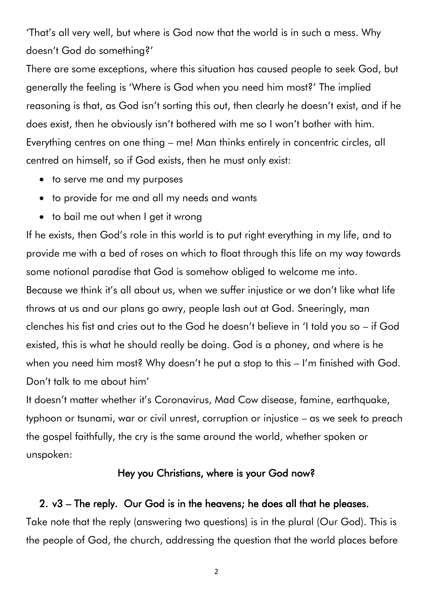'That's all very well, but where is God now that the world is in such a mess. Why doesn't God do something?'

There are some exceptions, where this situation has caused people to seek God, but generally the feeling is 'Where is God when you need him most?' The implied reasoning is that, as God isn't sorting this out, then clearly he doesn't exist, and if he does exist, then he obviously isn't bothered with me so I won't bother with him. Everything centres on one thing – me! Man thinks entirely in concentric circles, all centred on himself, so if God exists, then he must only exist:

- to serve me and my purposes
- to provide for me and all my needs and wants
- to bail me out when I get it wrong

If he exists, then God's role in this world is to put right everything in my life, and to provide me with a bed of roses on which to float through this life on my way towards some notional paradise that God is somehow obliged to welcome me into. Because we think it's all about us, when we suffer injustice or we don't like what life throws at us and our plans go awry, people lash out at God. Sneeringly, man clenches his fist and cries out to the God he doesn't believe in 'I told you so – if God existed, this is what he should really be doing. God is a phoney, and where is he when you need him most? Why doesn't he put a stop to this – I'm finished with God. Don't talk to me about him'

It doesn't matter whether it's Coronavirus, Mad Cow disease, famine, earthquake, typhoon or tsunami, war or civil unrest, corruption or injustice – as we seek to preach the gospel faithfully, the cry is the same around the world, whether spoken or unspoken:

#### Hey you Christians, where is your God now?

#### 2. v3 – The reply. Our God is in the heavens; he does all that he pleases.

Take note that the reply (answering two questions) is in the plural (Our God). This is the people of God, the church, addressing the question that the world places before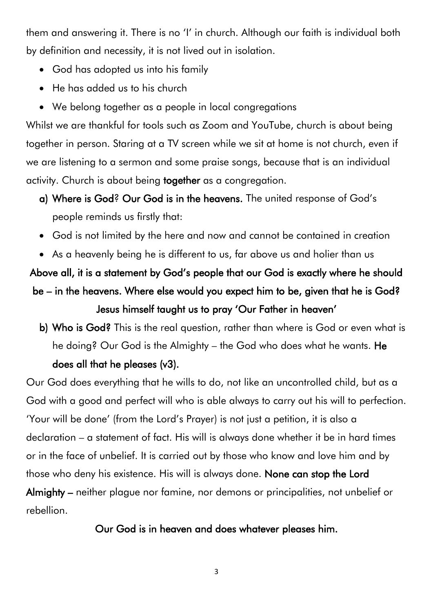them and answering it. There is no 'I' in church. Although our faith is individual both by definition and necessity, it is not lived out in isolation.

- God has adopted us into his family
- He has added us to his church
- We belong together as a people in local congregations

Whilst we are thankful for tools such as Zoom and YouTube, church is about being together in person. Staring at a TV screen while we sit at home is not church, even if we are listening to a sermon and some praise songs, because that is an individual activity. Church is about being together as a congregation.

- a) Where is God? Our God is in the heavens. The united response of God's people reminds us firstly that:
- God is not limited by the here and now and cannot be contained in creation
- As a heavenly being he is different to us, far above us and holier than us

Above all, it is a statement by God's people that our God is exactly where he should be – in the heavens. Where else would you expect him to be, given that he is God? Jesus himself taught us to pray 'Our Father in heaven'

b) Who is God? This is the real question, rather than where is God or even what is he doing? Our God is the Almighty – the God who does what he wants. He does all that he pleases (v3).

Our God does everything that he wills to do, not like an uncontrolled child, but as a God with a good and perfect will who is able always to carry out his will to perfection. 'Your will be done' (from the Lord's Prayer) is not just a petition, it is also a declaration – a statement of fact. His will is always done whether it be in hard times or in the face of unbelief. It is carried out by those who know and love him and by those who deny his existence. His will is always done. None can stop the Lord Almighty – neither plague nor famine, nor demons or principalities, not unbelief or rebellion.

#### Our God is in heaven and does whatever pleases him.

3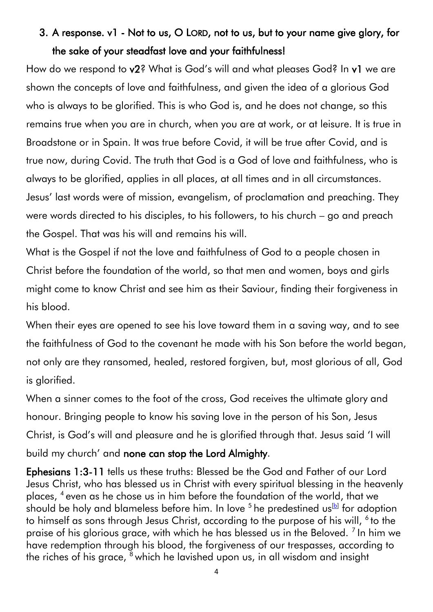# 3. A response. v1 - Not to us, O LORD, not to us, but to your name give glory, for the sake of your steadfast love and your faithfulness!

How do we respond to v2? What is God's will and what pleases God? In v1 we are shown the concepts of love and faithfulness, and given the idea of a glorious God who is always to be glorified. This is who God is, and he does not change, so this remains true when you are in church, when you are at work, or at leisure. It is true in Broadstone or in Spain. It was true before Covid, it will be true after Covid, and is true now, during Covid. The truth that God is a God of love and faithfulness, who is always to be glorified, applies in all places, at all times and in all circumstances. Jesus' last words were of mission, evangelism, of proclamation and preaching. They were words directed to his disciples, to his followers, to his church – go and preach the Gospel. That was his will and remains his will.

What is the Gospel if not the love and faithfulness of God to a people chosen in Christ before the foundation of the world, so that men and women, boys and girls might come to know Christ and see him as their Saviour, finding their forgiveness in his blood.

When their eyes are opened to see his love toward them in a saving way, and to see the faithfulness of God to the covenant he made with his Son before the world began, not only are they ransomed, healed, restored forgiven, but, most glorious of all, God is glorified.

When a sinner comes to the foot of the cross, God receives the ultimate glory and honour. Bringing people to know his saving love in the person of his Son, Jesus Christ, is God's will and pleasure and he is glorified through that. Jesus said 'I will build my church' and none can stop the Lord Almighty.

Ephesians 1:3-11 tells us these truths: Blessed be the God and Father of our Lord Jesus Christ, who has blessed us in Christ with every spiritual blessing in the heavenly places, <sup>4</sup> even as he chose us in him before the foundation of the world, that we should be holy and blameless before him. In love  $^5$  he predestined us $^{\rm [b]}$  $^{\rm [b]}$  $^{\rm [b]}$  for adoption to himself as sons through Jesus Christ, according to the purpose of his will, <sup>6</sup> to the praise of his glorious grace, with which he has blessed us in the Beloved.  $7$  In him we have redemption through his blood, the forgiveness of our trespasses, according to the riches of his grace,  $8$  which he lavished upon us, in all wisdom and insight